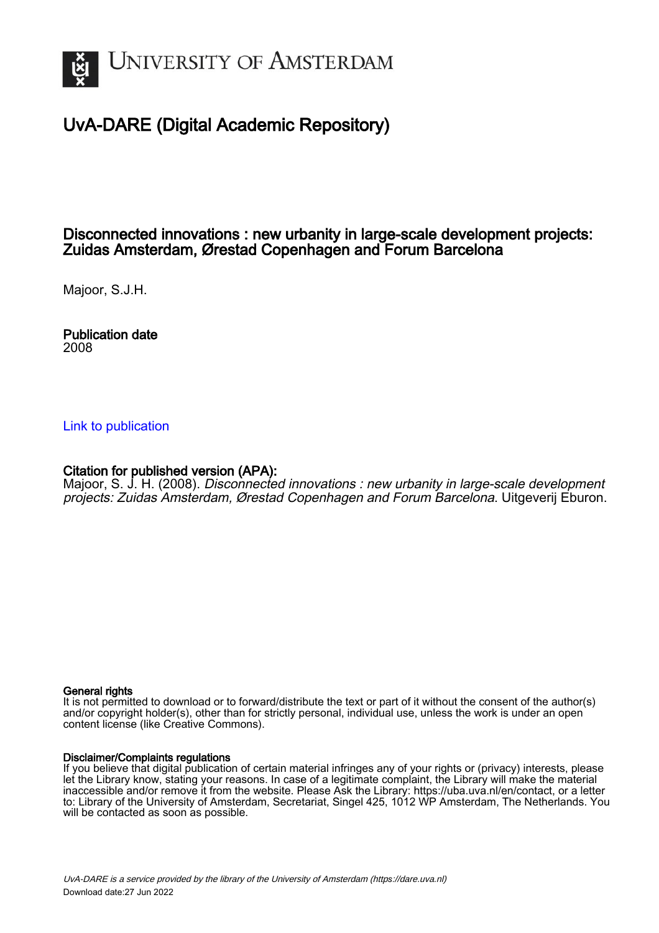

# UvA-DARE (Digital Academic Repository)

# Disconnected innovations : new urbanity in large-scale development projects: Zuidas Amsterdam, Ørestad Copenhagen and Forum Barcelona

Majoor, S.J.H.

Publication date 2008

## [Link to publication](https://dare.uva.nl/personal/pure/en/publications/disconnected-innovations--new-urbanity-in-largescale-development-projects-zuidas-amsterdam-oerestad-copenhagen-and-forum-barcelona(0699e4d5-2808-413b-97b1-f2d3329c97f5).html)

## Citation for published version (APA):

Majoor, S. J. H. (2008). Disconnected innovations : new urbanity in large-scale development projects: Zuidas Amsterdam, Ørestad Copenhagen and Forum Barcelona. Uitgeverij Eburon.

#### General rights

It is not permitted to download or to forward/distribute the text or part of it without the consent of the author(s) and/or copyright holder(s), other than for strictly personal, individual use, unless the work is under an open content license (like Creative Commons).

#### Disclaimer/Complaints regulations

If you believe that digital publication of certain material infringes any of your rights or (privacy) interests, please let the Library know, stating your reasons. In case of a legitimate complaint, the Library will make the material inaccessible and/or remove it from the website. Please Ask the Library: https://uba.uva.nl/en/contact, or a letter to: Library of the University of Amsterdam, Secretariat, Singel 425, 1012 WP Amsterdam, The Netherlands. You will be contacted as soon as possible.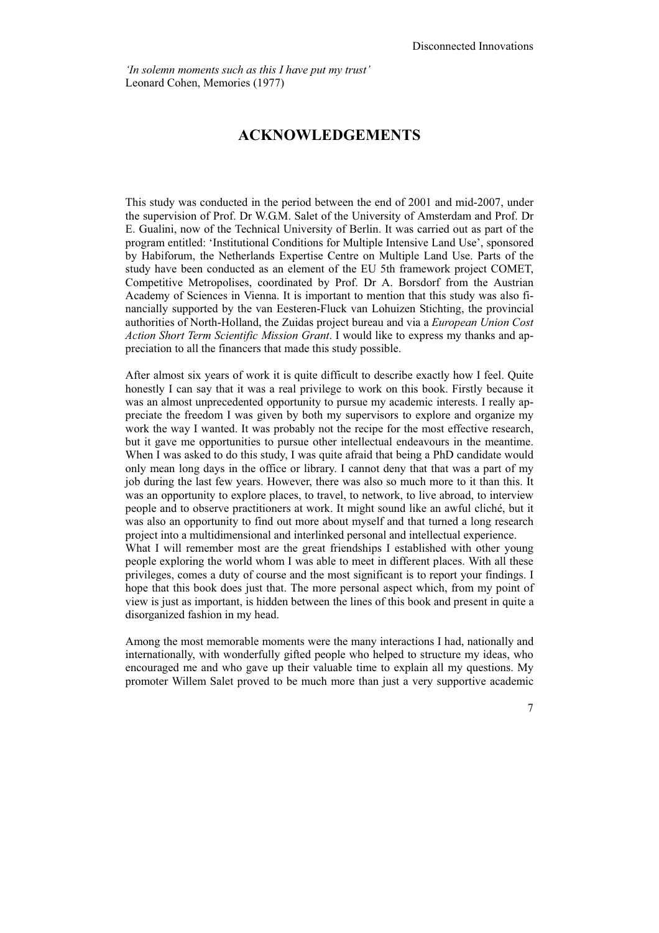*'In solemn moments such as this I have put my trust'*  Leonard Cohen, Memories (1977)

# **ACKNOWLEDGEMENTS**

This study was conducted in the period between the end of 2001 and mid-2007, under the supervision of Prof. Dr W.G.M. Salet of the University of Amsterdam and Prof. Dr E. Gualini, now of the Technical University of Berlin. It was carried out as part of the program entitled: 'Institutional Conditions for Multiple Intensive Land Use', sponsored by Habiforum, the Netherlands Expertise Centre on Multiple Land Use. Parts of the study have been conducted as an element of the EU 5th framework project COMET, Competitive Metropolises, coordinated by Prof. Dr A. Borsdorf from the Austrian Academy of Sciences in Vienna. It is important to mention that this study was also financially supported by the van Eesteren-Fluck van Lohuizen Stichting, the provincial authorities of North-Holland, the Zuidas project bureau and via a *European Union Cost Action Short Term Scientific Mission Grant*. I would like to express my thanks and appreciation to all the financers that made this study possible.

After almost six years of work it is quite difficult to describe exactly how I feel. Quite honestly I can say that it was a real privilege to work on this book. Firstly because it was an almost unprecedented opportunity to pursue my academic interests. I really appreciate the freedom I was given by both my supervisors to explore and organize my work the way I wanted. It was probably not the recipe for the most effective research, but it gave me opportunities to pursue other intellectual endeavours in the meantime. When I was asked to do this study, I was quite afraid that being a PhD candidate would only mean long days in the office or library. I cannot deny that that was a part of my job during the last few years. However, there was also so much more to it than this. It was an opportunity to explore places, to travel, to network, to live abroad, to interview people and to observe practitioners at work. It might sound like an awful cliché, but it was also an opportunity to find out more about myself and that turned a long research project into a multidimensional and interlinked personal and intellectual experience.

What I will remember most are the great friendships I established with other young people exploring the world whom I was able to meet in different places. With all these privileges, comes a duty of course and the most significant is to report your findings. I hope that this book does just that. The more personal aspect which, from my point of view is just as important, is hidden between the lines of this book and present in quite a disorganized fashion in my head.

Among the most memorable moments were the many interactions I had, nationally and internationally, with wonderfully gifted people who helped to structure my ideas, who encouraged me and who gave up their valuable time to explain all my questions. My promoter Willem Salet proved to be much more than just a very supportive academic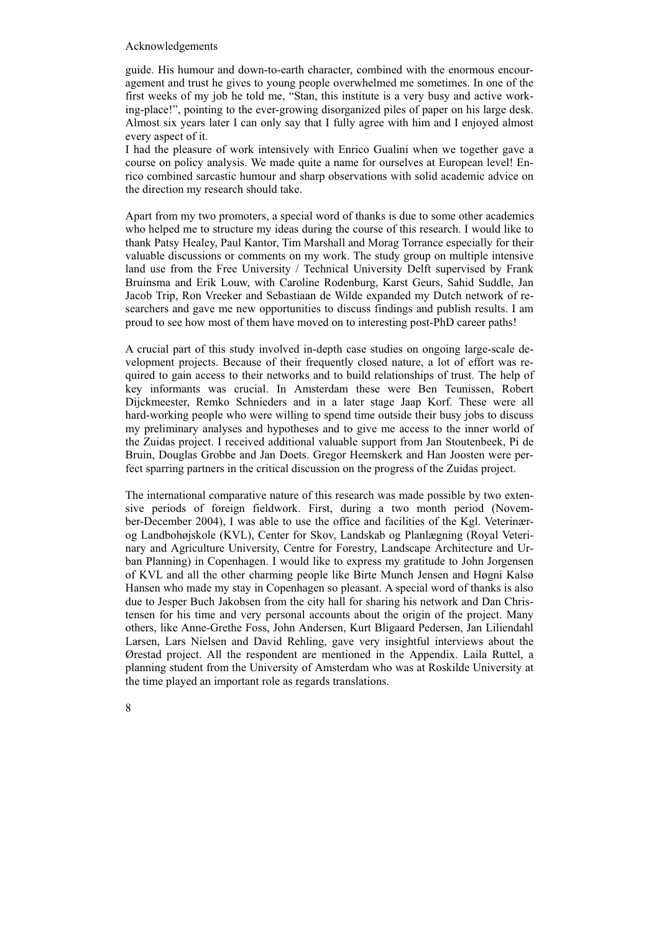#### Acknowledgements

guide. His humour and down-to-earth character, combined with the enormous encouragement and trust he gives to young people overwhelmed me sometimes. In one of the first weeks of my job he told me, "Stan, this institute is a very busy and active working-place!", pointing to the ever-growing disorganized piles of paper on his large desk. Almost six years later I can only say that I fully agree with him and I enjoyed almost every aspect of it.

I had the pleasure of work intensively with Enrico Gualini when we together gave a course on policy analysis. We made quite a name for ourselves at European level! Enrico combined sarcastic humour and sharp observations with solid academic advice on the direction my research should take.

Apart from my two promoters, a special word of thanks is due to some other academics who helped me to structure my ideas during the course of this research. I would like to thank Patsy Healey, Paul Kantor, Tim Marshall and Morag Torrance especially for their valuable discussions or comments on my work. The study group on multiple intensive land use from the Free University / Technical University Delft supervised by Frank Bruinsma and Erik Louw, with Caroline Rodenburg, Karst Geurs, Sahid Suddle, Jan Jacob Trip, Ron Vreeker and Sebastiaan de Wilde expanded my Dutch network of researchers and gave me new opportunities to discuss findings and publish results. I am proud to see how most of them have moved on to interesting post-PhD career paths!

A crucial part of this study involved in-depth case studies on ongoing large-scale development projects. Because of their frequently closed nature, a lot of effort was required to gain access to their networks and to build relationships of trust. The help of key informants was crucial. In Amsterdam these were Ben Teunissen, Robert Dijckmeester, Remko Schnieders and in a later stage Jaap Korf. These were all hard-working people who were willing to spend time outside their busy jobs to discuss my preliminary analyses and hypotheses and to give me access to the inner world of the Zuidas project. I received additional valuable support from Jan Stoutenbeek, Pi de Bruin, Douglas Grobbe and Jan Doets. Gregor Heemskerk and Han Joosten were perfect sparring partners in the critical discussion on the progress of the Zuidas project.

The international comparative nature of this research was made possible by two extensive periods of foreign fieldwork. First, during a two month period (November-December 2004), I was able to use the office and facilities of the Kgl. Veterinærog Landbohøjskole (KVL), Center for Skov, Landskab og Planlægning (Royal Veterinary and Agriculture University, Centre for Forestry, Landscape Architecture and Urban Planning) in Copenhagen. I would like to express my gratitude to John Jorgensen of KVL and all the other charming people like Birte Munch Jensen and Høgni Kalsø Hansen who made my stay in Copenhagen so pleasant. A special word of thanks is also due to Jesper Buch Jakobsen from the city hall for sharing his network and Dan Christensen for his time and very personal accounts about the origin of the project. Many others, like Anne-Grethe Foss, John Andersen, Kurt Bligaard Pedersen, Jan Liliendahl Larsen, Lars Nielsen and David Rehling, gave very insightful interviews about the Ørestad project. All the respondent are mentioned in the Appendix. Laila Ruttel, a planning student from the University of Amsterdam who was at Roskilde University at the time played an important role as regards translations.

8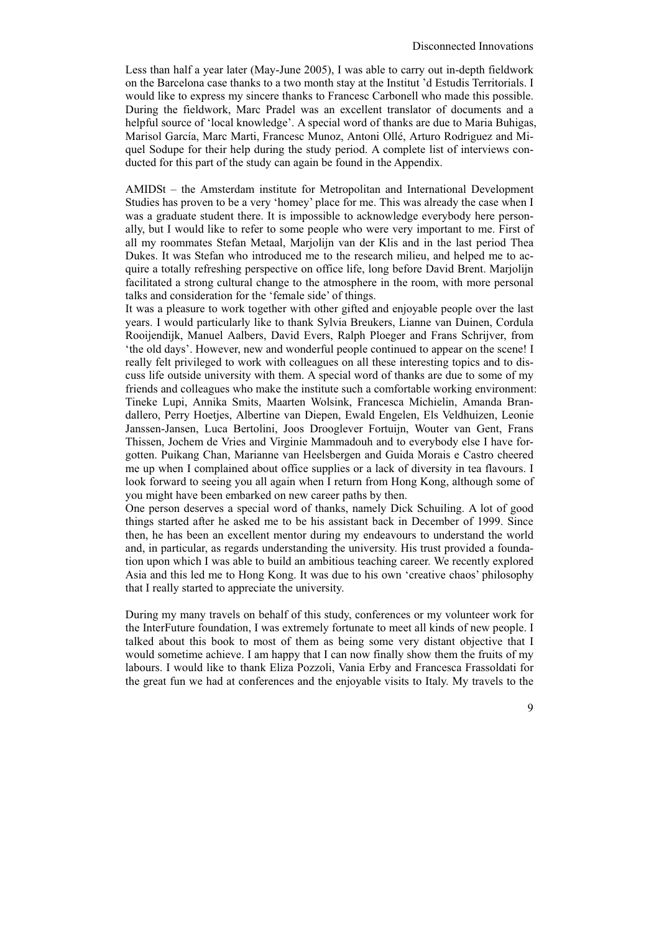Less than half a year later (May-June 2005), I was able to carry out in-depth fieldwork on the Barcelona case thanks to a two month stay at the Institut 'd Estudis Territorials. I would like to express my sincere thanks to Francesc Carbonell who made this possible. During the fieldwork, Marc Pradel was an excellent translator of documents and a helpful source of 'local knowledge'. A special word of thanks are due to Maria Buhigas, Marisol García, Marc Marti, Francesc Munoz, Antoni Ollé, Arturo Rodriguez and Miquel Sodupe for their help during the study period. A complete list of interviews conducted for this part of the study can again be found in the Appendix.

AMIDSt – the Amsterdam institute for Metropolitan and International Development Studies has proven to be a very 'homey' place for me. This was already the case when I was a graduate student there. It is impossible to acknowledge everybody here personally, but I would like to refer to some people who were very important to me. First of all my roommates Stefan Metaal, Marjolijn van der Klis and in the last period Thea Dukes. It was Stefan who introduced me to the research milieu, and helped me to acquire a totally refreshing perspective on office life, long before David Brent. Marjolijn facilitated a strong cultural change to the atmosphere in the room, with more personal talks and consideration for the 'female side' of things.

It was a pleasure to work together with other gifted and enjoyable people over the last years. I would particularly like to thank Sylvia Breukers, Lianne van Duinen, Cordula Rooijendijk, Manuel Aalbers, David Evers, Ralph Ploeger and Frans Schrijver, from 'the old days'. However, new and wonderful people continued to appear on the scene! I really felt privileged to work with colleagues on all these interesting topics and to discuss life outside university with them. A special word of thanks are due to some of my friends and colleagues who make the institute such a comfortable working environment: Tineke Lupi, Annika Smits, Maarten Wolsink, Francesca Michielin, Amanda Brandallero, Perry Hoetjes, Albertine van Diepen, Ewald Engelen, Els Veldhuizen, Leonie Janssen-Jansen, Luca Bertolini, Joos Drooglever Fortuijn, Wouter van Gent, Frans Thissen, Jochem de Vries and Virginie Mammadouh and to everybody else I have forgotten. Puikang Chan, Marianne van Heelsbergen and Guida Morais e Castro cheered me up when I complained about office supplies or a lack of diversity in tea flavours. I look forward to seeing you all again when I return from Hong Kong, although some of you might have been embarked on new career paths by then.

One person deserves a special word of thanks, namely Dick Schuiling. A lot of good things started after he asked me to be his assistant back in December of 1999. Since then, he has been an excellent mentor during my endeavours to understand the world and, in particular, as regards understanding the university. His trust provided a foundation upon which I was able to build an ambitious teaching career. We recently explored Asia and this led me to Hong Kong. It was due to his own 'creative chaos' philosophy that I really started to appreciate the university.

During my many travels on behalf of this study, conferences or my volunteer work for the InterFuture foundation, I was extremely fortunate to meet all kinds of new people. I talked about this book to most of them as being some very distant objective that I would sometime achieve. I am happy that I can now finally show them the fruits of my labours. I would like to thank Eliza Pozzoli, Vania Erby and Francesca Frassoldati for the great fun we had at conferences and the enjoyable visits to Italy. My travels to the